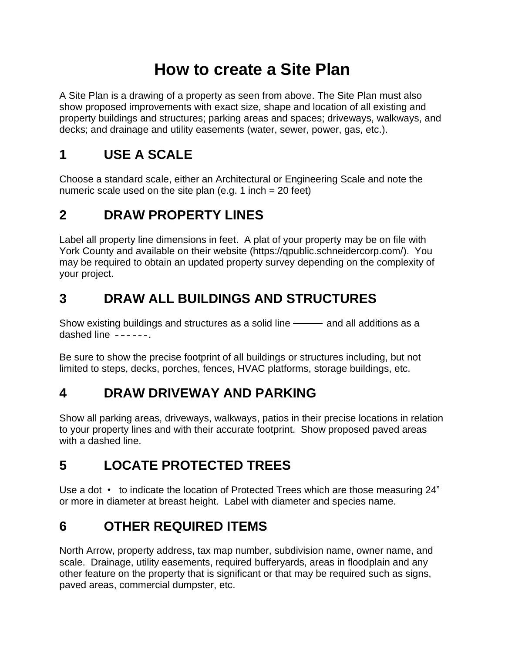# **How to create a Site Plan**

A Site Plan is a drawing of a property as seen from above. The Site Plan must also show proposed improvements with exact size, shape and location of all existing and property buildings and structures; parking areas and spaces; driveways, walkways, and decks; and drainage and utility easements (water, sewer, power, gas, etc.).

## **1 USE A SCALE**

Choose a standard scale, either an Architectural or Engineering Scale and note the numeric scale used on the site plan (e.g. 1 inch  $= 20$  feet)

#### **2 DRAW PROPERTY LINES**

Label all property line dimensions in feet. A plat of your property may be on file with York County and available on their website (https://qpublic.schneidercorp.com/). You may be required to obtain an updated property survey depending on the complexity of your project.

## **3 DRAW ALL BUILDINGS AND STRUCTURES**

Show existing buildings and structures as a solid line ——— and all additions as a dashed line  $---$ .

Be sure to show the precise footprint of all buildings or structures including, but not limited to steps, decks, porches, fences, HVAC platforms, storage buildings, etc.

#### **4 DRAW DRIVEWAY AND PARKING**

Show all parking areas, driveways, walkways, patios in their precise locations in relation to your property lines and with their accurate footprint. Show proposed paved areas with a dashed line.

## **5 LOCATE PROTECTED TREES**

Use a dot • to indicate the location of Protected Trees which are those measuring 24" or more in diameter at breast height. Label with diameter and species name.

## **6 OTHER REQUIRED ITEMS**

North Arrow, property address, tax map number, subdivision name, owner name, and scale. Drainage, utility easements, required bufferyards, areas in floodplain and any other feature on the property that is significant or that may be required such as signs, paved areas, commercial dumpster, etc.